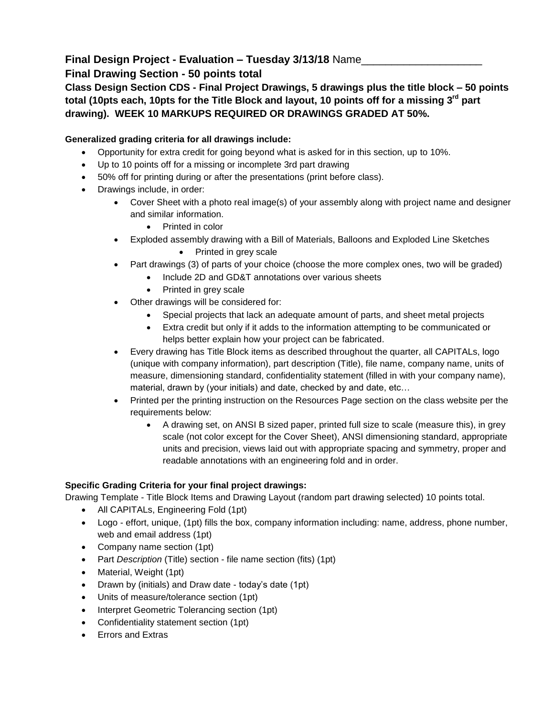## **Final Design Project - Evaluation – Tuesday 3/13/18** Name\_\_\_\_\_\_\_\_\_\_\_\_\_\_\_\_\_\_\_\_

## **Final Drawing Section - 50 points total**

**Class Design Section CDS - Final Project Drawings, 5 drawings plus the title block – 50 points total (10pts each, 10pts for the Title Block and layout, 10 points off for a missing 3rd part drawing). WEEK 10 MARKUPS REQUIRED OR DRAWINGS GRADED AT 50%.** 

## **Generalized grading criteria for all drawings include:**

- Opportunity for extra credit for going beyond what is asked for in this section, up to 10%.
- Up to 10 points off for a missing or incomplete 3rd part drawing
- 50% off for printing during or after the presentations (print before class).
- Drawings include, in order:
	- Cover Sheet with a photo real image(s) of your assembly along with project name and designer and similar information.
		- Printed in color
	- Exploded assembly drawing with a Bill of Materials, Balloons and Exploded Line Sketches • Printed in grey scale
	- Part drawings (3) of parts of your choice (choose the more complex ones, two will be graded)
		- Include 2D and GD&T annotations over various sheets
		- Printed in grey scale
	- Other drawings will be considered for:
		- Special projects that lack an adequate amount of parts, and sheet metal projects
		- Extra credit but only if it adds to the information attempting to be communicated or helps better explain how your project can be fabricated.
	- Every drawing has Title Block items as described throughout the quarter, all CAPITALs, logo (unique with company information), part description (Title), file name, company name, units of measure, dimensioning standard, confidentiality statement (filled in with your company name), material, drawn by (your initials) and date, checked by and date, etc…
	- Printed per the printing instruction on the Resources Page section on the class website per the requirements below:
		- A drawing set, on ANSI B sized paper, printed full size to scale (measure this), in grey scale (not color except for the Cover Sheet), ANSI dimensioning standard, appropriate units and precision, views laid out with appropriate spacing and symmetry, proper and readable annotations with an engineering fold and in order.

## **Specific Grading Criteria for your final project drawings:**

Drawing Template - Title Block Items and Drawing Layout (random part drawing selected) 10 points total.

- All CAPITALs, Engineering Fold (1pt)
- Logo effort, unique, (1pt) fills the box, company information including: name, address, phone number, web and email address (1pt)
- Company name section (1pt)
- Part *Description* (Title) section file name section (fits) (1pt)
- Material, Weight (1pt)
- Drawn by (initials) and Draw date today's date (1pt)
- Units of measure/tolerance section (1pt)
- Interpret Geometric Tolerancing section (1pt)
- Confidentiality statement section (1pt)
- Errors and Extras